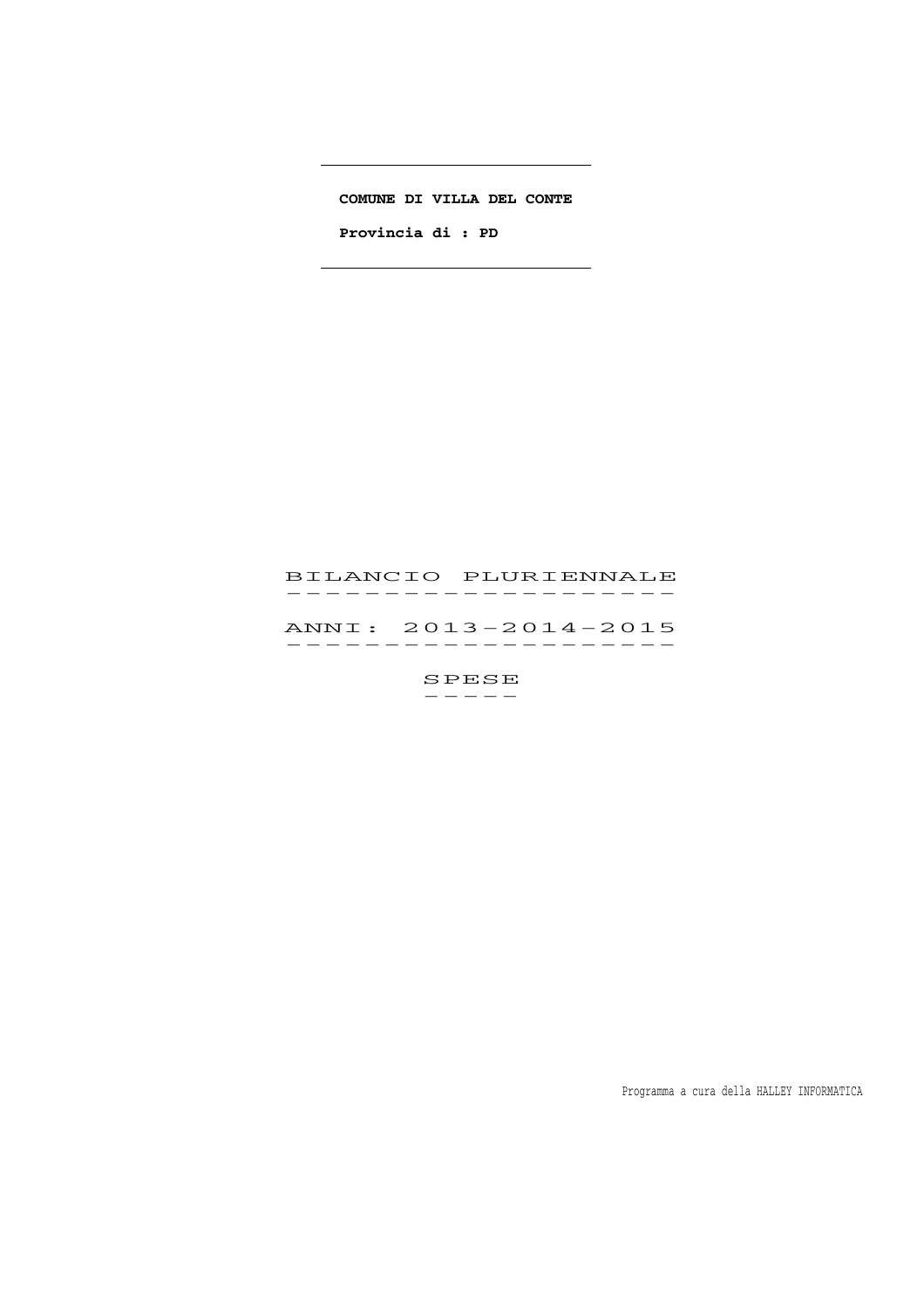#### **COMUNE DI VILLA DEL CONTE**

. . . . . . . . . . . .

 $\overline{\phantom{a}}$ 

 **Provincia di : PD** 

# BILANCIO PLURIENNALE 51LANCIO PLORIENNALE<br>-----------------

 ANNI: 2013-2014-2015 ANNI : 2013-2014-2015<br>-----------------

 $SPESE$ -----

Programma a cura della HALLEY INFORMATICA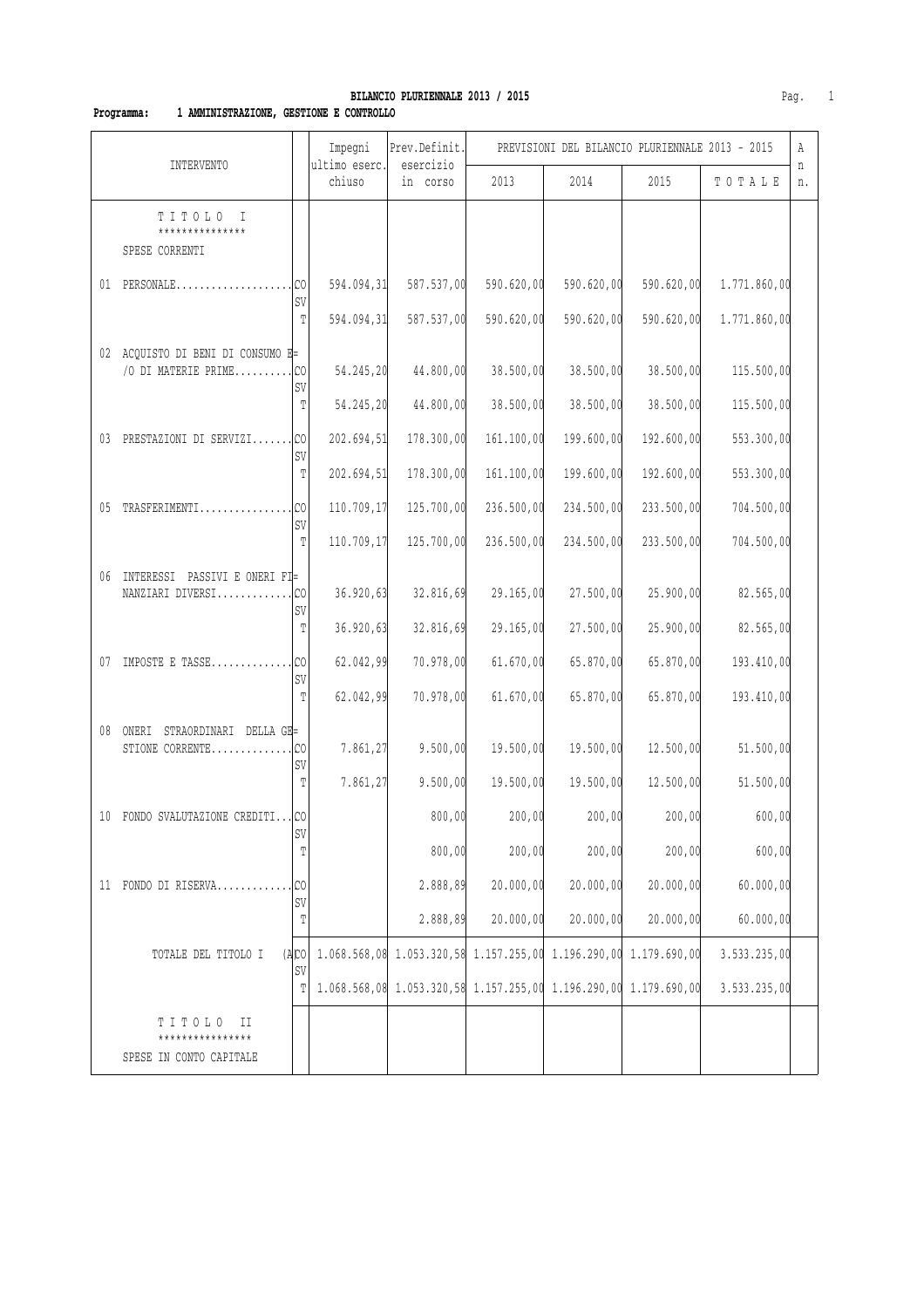# **BILANCIO PLURIENNALE 2013 / 2015 Pag.** 1

### **Programma: 1 AMMINISTRAZIONE, GESTIONE E CONTROLLO**

|    |                                                            |                      | Impegni                 | Prev.Definit.                                                    |            | PREVISIONI DEL BILANCIO PLURIENNALE 2013 - 2015 |            |              | Α       |
|----|------------------------------------------------------------|----------------------|-------------------------|------------------------------------------------------------------|------------|-------------------------------------------------|------------|--------------|---------|
|    | <b>INTERVENTO</b>                                          |                      | ultimo eserc.<br>chiuso | esercizio<br>in corso                                            | 2013       | 2014                                            | 2015       | TOTALE       | n<br>n. |
|    | TITOLO<br>I<br>***************<br>SPESE CORRENTI           |                      |                         |                                                                  |            |                                                 |            |              |         |
|    | 01 PERSONALE                                               | C <sub>0</sub><br>SV | 594.094,31              | 587.537,00                                                       | 590.620,00 | 590.620,00                                      | 590.620,00 | 1.771.860,00 |         |
|    |                                                            | T                    | 594.094,31              | 587.537,00                                                       | 590.620,00 | 590.620,00                                      | 590.620,00 | 1.771.860,00 |         |
|    | 02 ACQUISTO DI BENI DI CONSUMO E=<br>/O DI MATERIE PRIME   | C <sub>0</sub><br>SV | 54.245,20               | 44.800,00                                                        | 38.500,00  | 38.500,00                                       | 38.500,00  | 115.500,00   |         |
|    |                                                            | T                    | 54.245,20               | 44.800,00                                                        | 38.500,00  | 38.500,00                                       | 38.500,00  | 115.500,00   |         |
| 03 | PRESTAZIONI DI SERVIZI                                     | SV                   | 202.694,51              | 178.300,00                                                       | 161.100,00 | 199.600,00                                      | 192.600,00 | 553.300,00   |         |
|    |                                                            | T                    | 202.694,51              | 178.300,00                                                       | 161.100,00 | 199.600,00                                      | 192.600,00 | 553.300,00   |         |
| 05 | TRASFERIMENTI                                              | .lco<br>SV           | 110.709,17              | 125.700,00                                                       | 236.500,00 | 234.500,00                                      | 233.500,00 | 704.500,00   |         |
|    |                                                            | T                    | 110.709,17              | 125.700,00                                                       | 236.500,00 | 234.500,00                                      | 233.500,00 | 704.500,00   |         |
| 06 | INTERESSI PASSIVI E ONERI FI=                              | SV                   | 36.920,63               | 32.816,69                                                        | 29.165,00  | 27.500,00                                       | 25.900,00  | 82.565,00    |         |
|    |                                                            | $\mathbb T$          | 36.920,63               | 32.816,69                                                        | 29.165,00  | 27.500,00                                       | 25.900,00  | 82.565,00    |         |
| 07 | IMPOSTE E TASSE                                            | C <sub>0</sub><br>SV | 62.042,99               | 70.978,00                                                        | 61.670,00  | 65.870,00                                       | 65.870,00  | 193.410,00   |         |
|    |                                                            | T                    | 62.042,99               | 70.978,00                                                        | 61.670,00  | 65.870,00                                       | 65.870,00  | 193.410,00   |         |
|    | STRAORDINARI DELLA GE=<br>08 ONERI<br>STIONE CORRENTE      | C <sub>0</sub><br>SV | 7.861,27                | 9.500,00                                                         | 19.500,00  | 19.500,00                                       | 12.500,00  | 51.500,00    |         |
|    |                                                            | T                    | 7.861,27                | 9.500,00                                                         | 19.500,00  | 19.500,00                                       | 12.500,00  | 51.500,00    |         |
| 10 | FONDO SVALUTAZIONE CREDITI CO                              | SV                   |                         | 800,00                                                           | 200,00     | 200,00                                          | 200,00     | 600,00       |         |
|    |                                                            | T                    |                         | 800,00                                                           | 200,00     | 200,00                                          | 200,00     | 600,00       |         |
|    | 11 FONDO DI RISERVA                                        | CO<br>SV             |                         | 2.888,89                                                         | 20.000,00  | 20.000,00                                       | 20.000,00  | 60.000,00    |         |
|    |                                                            | Т                    |                         | 2.888,89                                                         | 20.000,00  | 20.000,00                                       | 20.000,00  | 60.000,00    |         |
|    | TOTALE DEL TITOLO I                                        | (ABC)<br>SV          |                         | 1.068.568,08 1.053.320,58 1.157.255,00 1.196.290,00 1.179.690,00 |            |                                                 |            | 3.533.235,00 |         |
|    |                                                            | Т                    |                         | 1.068.568,08 1.053.320,58 1.157.255,00 1.196.290,00 1.179.690,00 |            |                                                 |            | 3.533.235,00 |         |
|    | TITOLO<br>H<br>****************<br>SPESE IN CONTO CAPITALE |                      |                         |                                                                  |            |                                                 |            |              |         |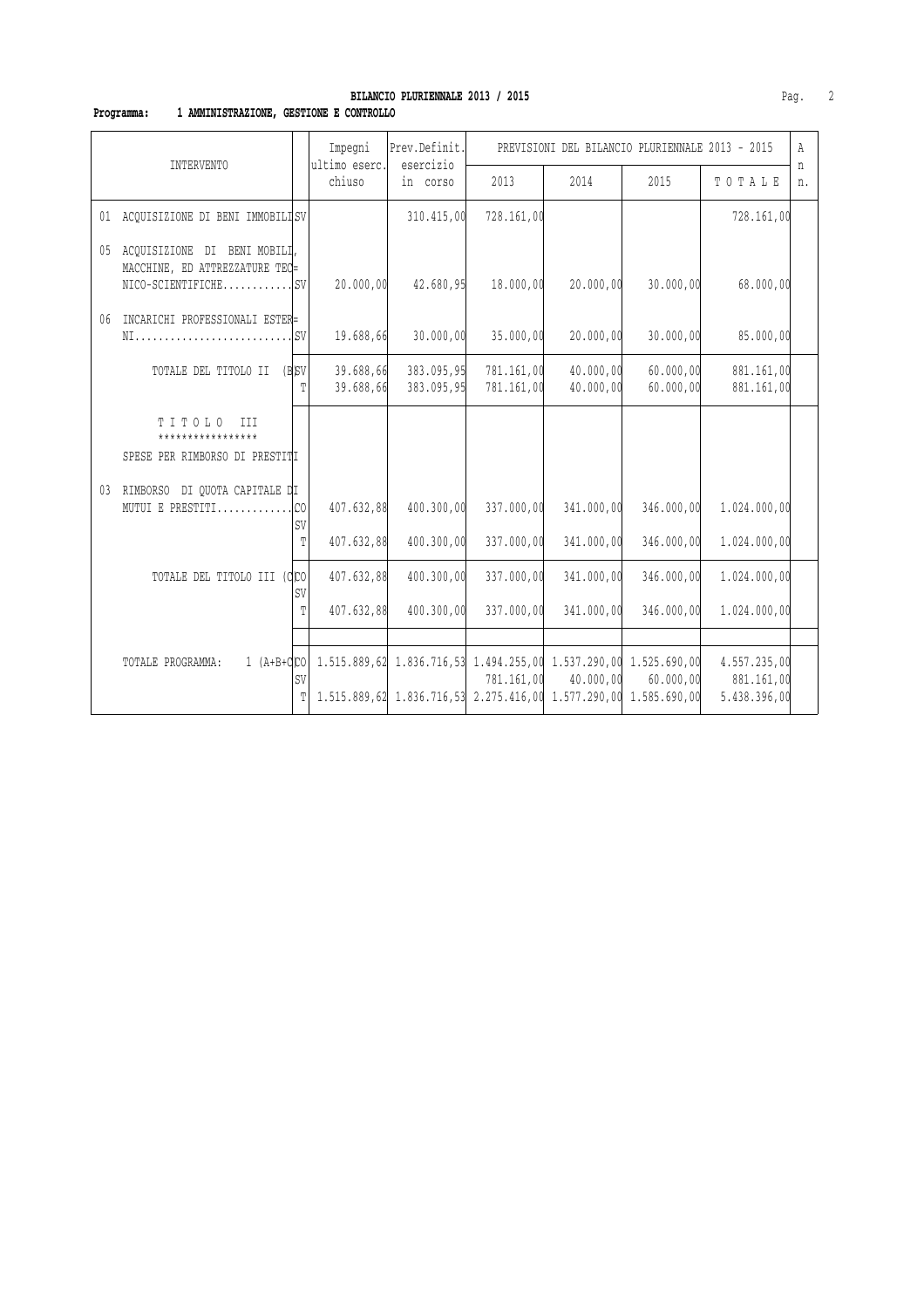### **Programma: 1 AMMINISTRAZIONE, GESTIONE E CONTROLLO**

| INTERVENTO |                                                                                          |                | Impegni                  | Prev.Definit.                                                                                                                                   | PREVISIONI DEL BILANCIO PLURIENNALE 2013 - 2015 |                          |                          |                                            |         |
|------------|------------------------------------------------------------------------------------------|----------------|--------------------------|-------------------------------------------------------------------------------------------------------------------------------------------------|-------------------------------------------------|--------------------------|--------------------------|--------------------------------------------|---------|
|            |                                                                                          |                | ultimo eserc.<br>chiuso  | esercizio<br>in corso                                                                                                                           | 2013                                            | 2014                     | 2015                     | TOTALE                                     | n<br>n. |
|            | 01 ACQUISIZIONE DI BENI IMMOBILISV                                                       |                |                          | 310.415,00                                                                                                                                      | 728.161,00                                      |                          |                          | 728.161,00                                 |         |
|            | 05 ACOUISIZIONE DI BENI MOBILI,<br>MACCHINE, ED ATTREZZATURE TEC=<br>$NICO-SCIENTIFICHE$ |                | 20.000,00                | 42.680,95                                                                                                                                       | 18.000,00                                       | 20.000,00                | 30.000,00                | 68.000,00                                  |         |
| 06         | INCARICHI PROFESSIONALI ESTER=                                                           |                | 19.688,66                | 30.000,00                                                                                                                                       | 35.000,00                                       | 20.000,00                | 30.000,00                | 85.000,00                                  |         |
|            | TOTALE DEL TITOLO II (B)SV                                                               | Ͳ              | 39.688,66<br>39.688,66   | 383.095,95<br>383.095,95                                                                                                                        | 781.161,00<br>781.161,00                        | 40.000,00<br>40.000,00   | 60.000,00<br>60.000,00   | 881.161,00<br>881.161,00                   |         |
|            | TITOLO III<br>*****************<br>SPESE PER RIMBORSO DI PRESTITI                        |                |                          |                                                                                                                                                 |                                                 |                          |                          |                                            |         |
|            | 03 RIMBORSO DI QUOTA CAPITALE DI<br>MUTUI E PRESTITICO                                   | SV<br>T        | 407.632,88<br>407.632,88 | 400.300,00<br>400.300,00                                                                                                                        | 337.000,00<br>337.000,00                        | 341.000,00<br>341.000,00 | 346.000,00<br>346.000,00 | 1.024.000,00<br>1.024.000,00               |         |
|            | TOTALE DEL TITOLO III (CCO                                                               | SV             | 407.632,88               | 400.300,00                                                                                                                                      | 337.000,00                                      | 341,000,00               | 346.000,00               | 1.024.000,00                               |         |
|            |                                                                                          | T              | 407.632,88               | 400.300,00                                                                                                                                      | 337.000,00                                      | 341.000,00               | 346.000,00               | 1.024.000,00                               |         |
|            | TOTALE PROGRAMMA:                                                                        | <b>SV</b><br>T |                          | 1 (A+B+dco 1.515.889,62 1.836.716,53 1.494.255,00 1.537.290,00 1.525.690,00<br>1.515.889,62 1.836.716,53 2.275.416,00 1.577.290,00 1.585.690,00 | 781.161,00                                      | 40.000,00                | 60.000,00                | 4.557.235,00<br>881.161,00<br>5.438.396,00 |         |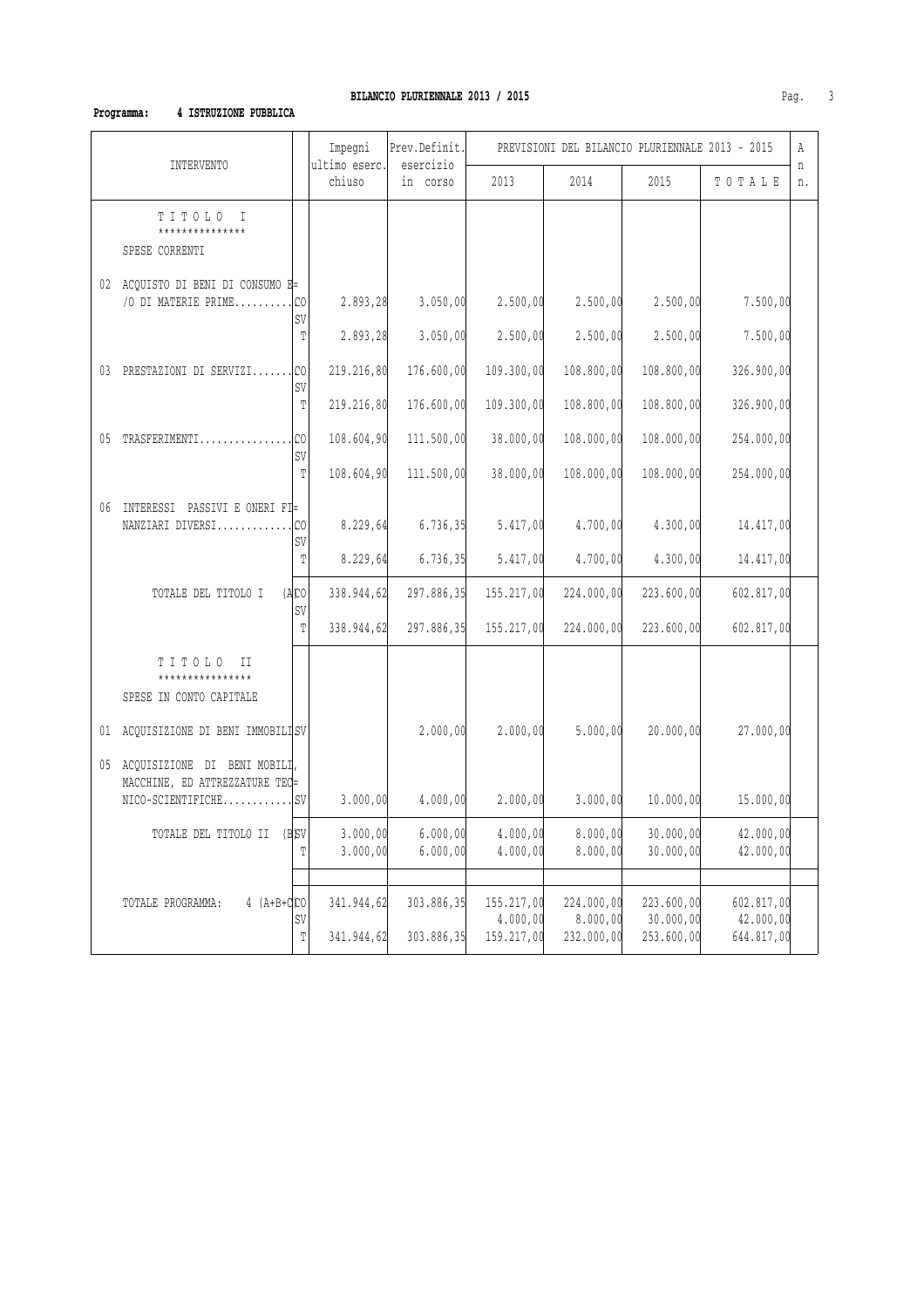### **Programma: 4 ISTRUZIONE PUBBLICA**

| Impegni<br>Prev.Definit.<br>ultimo eserc.<br>esercizio<br><b>INTERVENTO</b> |                                                                   |                      |                      |                      | PREVISIONI DEL BILANCIO PLURIENNALE 2013 - 2015 |                        |                         |                         |         |
|-----------------------------------------------------------------------------|-------------------------------------------------------------------|----------------------|----------------------|----------------------|-------------------------------------------------|------------------------|-------------------------|-------------------------|---------|
|                                                                             |                                                                   |                      | chiuso               | in corso             | 2013                                            | 2014                   | 2015                    | TOTALE                  | n<br>n. |
|                                                                             | TITOLO I<br>***************<br>SPESE CORRENTI                     |                      |                      |                      |                                                 |                        |                         |                         |         |
|                                                                             | 02 ACQUISTO DI BENI DI CONSUMO E=<br>/O DI MATERIE PRIME          | .lco<br>SV           | 2.893,28             | 3.050,00             | 2.500,00                                        | 2.500,00               | 2.500,00                | 7.500,00                |         |
|                                                                             |                                                                   | T                    | 2.893,28             | 3.050,00             | 2.500,00                                        | 2.500,00               | 2.500,00                | 7.500,00                |         |
|                                                                             | 03 PRESTAZIONI DI SERVIZI                                         | lco.<br>SV           | 219.216,80           | 176.600,00           | 109.300,00                                      | 108.800,00             | 108.800,00              | 326.900,00              |         |
|                                                                             |                                                                   | T                    | 219.216,80           | 176.600,00           | 109.300,00                                      | 108.800,00             | 108.800,00              | 326.900,00              |         |
|                                                                             | 05 TRASFERIMENTI                                                  | .lco                 | 108.604,90           | 111.500,00           | 38.000,00                                       | 108.000,00             | 108.000,00              | 254.000,00              |         |
|                                                                             |                                                                   | SV<br>T              | 108.604,90           | 111.500,00           | 38.000,00                                       | 108.000,00             | 108.000,00              | 254.000,00              |         |
| 06                                                                          | INTERESSI PASSIVI E ONERI FI=<br>NANZIARI DIVERSI                 | C <sub>0</sub><br>SV | 8.229,64             | 6.736, 35            | 5.417,00                                        | 4.700,00               | 4.300,00                | 14.417,00               |         |
|                                                                             |                                                                   | T                    | 8.229,64             | 6.736, 35            | 5.417,00                                        | 4.700,00               | 4.300,00                | 14.417,00               |         |
|                                                                             | TOTALE DEL TITOLO I                                               | (ACD)                | 338.944,62           | 297.886,35           | 155.217,00                                      | 224.000,00             | 223.600,00              | 602.817,00              |         |
|                                                                             |                                                                   | SV<br>T              | 338.944,62           | 297.886,35           | 155.217,00                                      | 224.000,00             | 223.600,00              | 602.817,00              |         |
|                                                                             | TITOLO II<br>****************<br>SPESE IN CONTO CAPITALE          |                      |                      |                      |                                                 |                        |                         |                         |         |
|                                                                             | 01 ACQUISIZIONE DI BENI IMMOBILISV                                |                      |                      | 2.000,00             | 2.000,00                                        | 5.000,00               | 20.000,00               | 27.000,00               |         |
|                                                                             | 05 ACQUISIZIONE DI BENI MOBILI,<br>MACCHINE, ED ATTREZZATURE TEC= |                      |                      |                      |                                                 |                        |                         |                         |         |
|                                                                             | $NICO-SCIENTIFICHE$                                               |                      | 3.000,00             | 4.000,00             | 2.000,00                                        | 3.000,00               | 10.000,00               | 15.000,00               |         |
|                                                                             | TOTALE DEL TITOLO II                                              | $(B)$ SV<br>T        | 3.000,00<br>3.000,00 | 6.000,00<br>6.000,00 | 4.000,00<br>4.000,00                            | 8.000,00<br>8.000,00   | 30.000,00<br>30.000,00  | 42.000,00<br>42.000,00  |         |
|                                                                             |                                                                   |                      |                      |                      |                                                 |                        |                         |                         |         |
|                                                                             | $4 (A+B+Q)CO$<br>TOTALE PROGRAMMA:                                | SV                   | 341.944,62           | 303.886,35           | 155.217,00<br>4.000,00                          | 224.000,00<br>8.000,00 | 223.600,00<br>30.000,00 | 602.817,00<br>42.000,00 |         |
|                                                                             |                                                                   | T                    | 341.944,62           | 303.886,35           | 159.217,00                                      | 232.000,00             | 253.600,00              | 644.817,00              |         |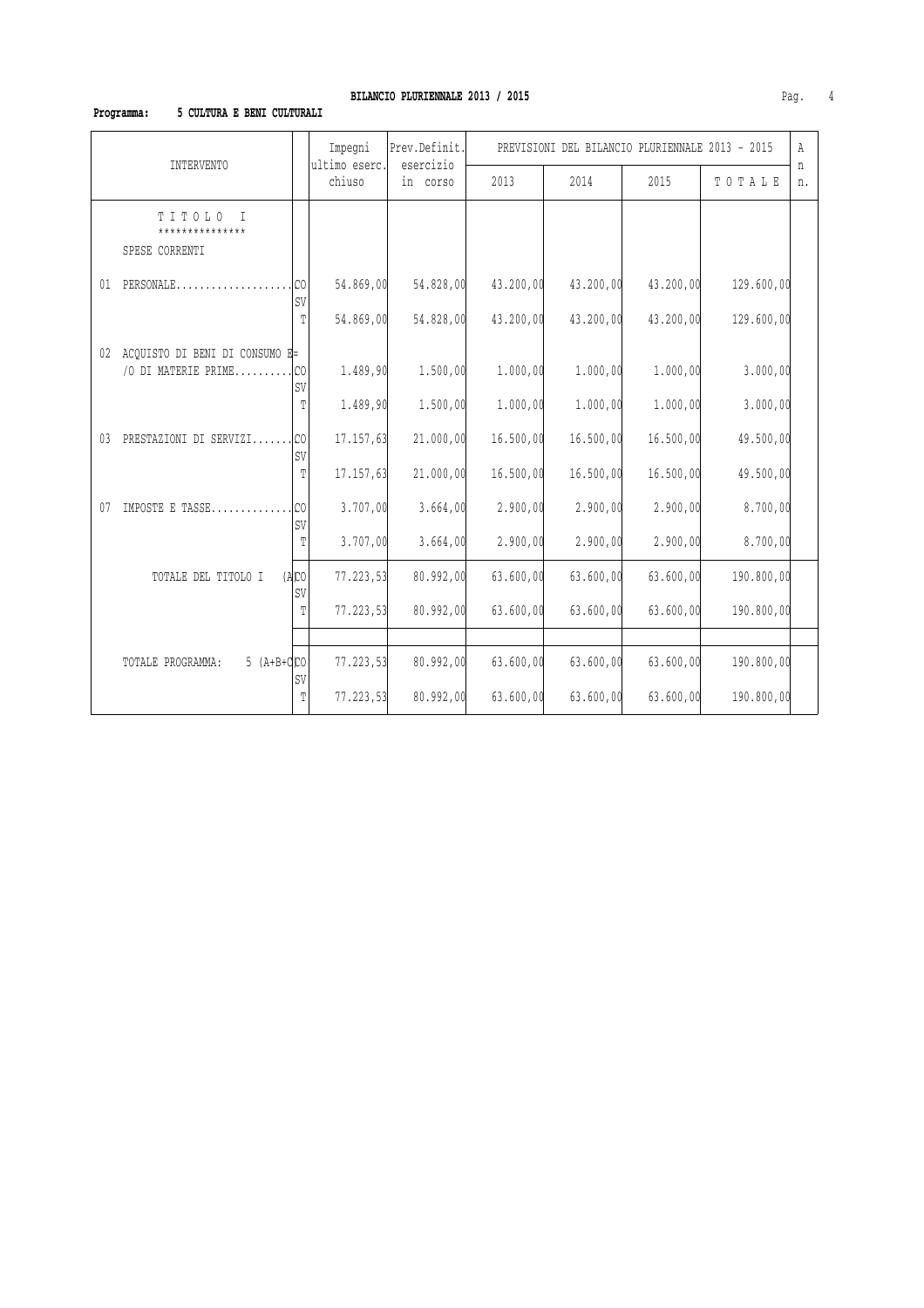# **BILANCIO PLURIENNALE 2013 / 2015 Pag.** 4

### **Programma: 5 CULTURA E BENI CULTURALI**

| <b>INTERVENTO</b>                                        |                      | Impegni<br>ultimo eserc. | Prev.Definit.<br>esercizio | PREVISIONI DEL BILANCIO PLURIENNALE 2013 - 2015 |           |           |            |         |
|----------------------------------------------------------|----------------------|--------------------------|----------------------------|-------------------------------------------------|-----------|-----------|------------|---------|
|                                                          |                      | chiuso                   | in corso                   | 2013                                            | 2014      | 2015      | TOTALE     | n<br>n. |
| TITOLO<br>$\top$<br>***************<br>SPESE CORRENTI    |                      |                          |                            |                                                 |           |           |            |         |
| PERSONALE<br>01                                          | C <sub>0</sub><br>SV | 54.869,00                | 54.828,00                  | 43.200,00                                       | 43.200,00 | 43.200,00 | 129.600,00 |         |
|                                                          | T                    | 54.869,00                | 54.828,00                  | 43.200,00                                       | 43.200,00 | 43.200,00 | 129.600,00 |         |
| 02 ACQUISTO DI BENI DI CONSUMO E=<br>/O DI MATERIE PRIME | C <sub>0</sub><br>SV | 1.489,90                 | 1.500,00                   | 1.000,00                                        | 1.000,00  | 1.000,00  | 3.000,00   |         |
|                                                          | T                    | 1.489,90                 | 1.500,00                   | 1.000,00                                        | 1.000,00  | 1.000,00  | 3.000,00   |         |
| PRESTAZIONI DI SERVIZI<br>03                             | l CO<br>SV           | 17.157,63                | 21.000,00                  | 16.500,00                                       | 16.500,00 | 16.500,00 | 49.500,00  |         |
|                                                          | T                    | 17.157,63                | 21.000,00                  | 16.500,00                                       | 16.500,00 | 16.500,00 | 49.500,00  |         |
| IMPOSTE E TASSE<br>07                                    | C <sub>0</sub><br>SV | 3.707,00                 | 3.664,00                   | 2.900,00                                        | 2.900,00  | 2.900,00  | 8.700,00   |         |
|                                                          | T                    | 3.707,00                 | 3.664,00                   | 2.900,00                                        | 2.900,00  | 2.900,00  | 8.700,00   |         |
| TOTALE DEL TITOLO I                                      | $(A)$ CO<br>SV       | 77.223,53                | 80.992,00                  | 63.600,00                                       | 63.600,00 | 63.600,00 | 190.800,00 |         |
|                                                          | T                    | 77.223,53                | 80.992,00                  | 63.600,00                                       | 63.600,00 | 63.600,00 | 190.800,00 |         |
|                                                          |                      |                          |                            |                                                 |           |           |            |         |
| 5 $(A+B+d)$ CO<br>TOTALE PROGRAMMA:                      | SV                   | 77.223,53                | 80.992,00                  | 63.600,00                                       | 63.600,00 | 63.600,00 | 190.800,00 |         |
|                                                          | Т                    | 77.223,53                | 80.992,00                  | 63.600,00                                       | 63.600,00 | 63.600,00 | 190.800,00 |         |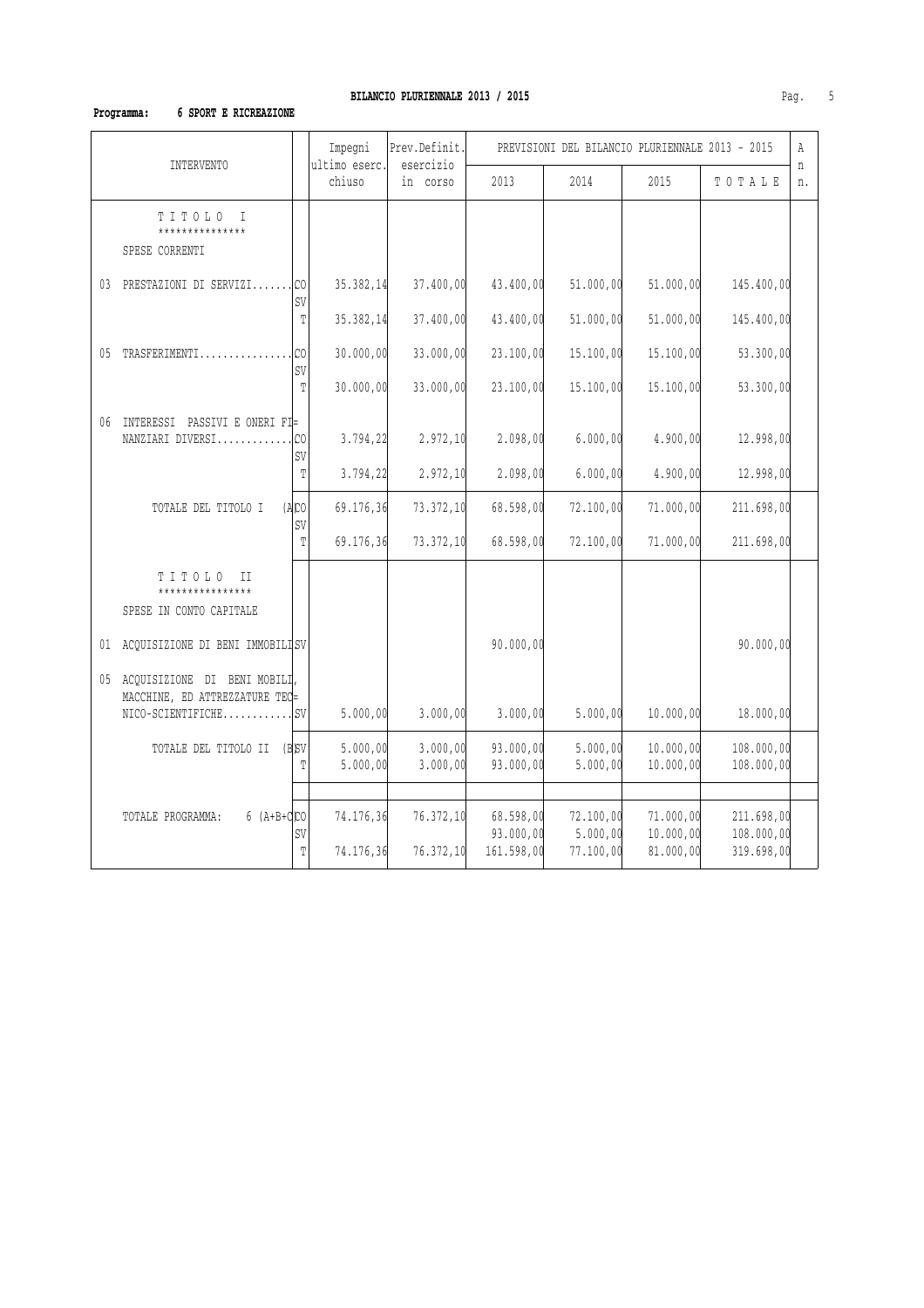# **Programma: 6 SPORT E RICREAZIONE**

|                                                                   |                      | Impegni                 | Prev.Definit.<br>esercizio | PREVISIONI DEL BILANCIO PLURIENNALE 2013 - 2015 |                       |                        |                          |         |
|-------------------------------------------------------------------|----------------------|-------------------------|----------------------------|-------------------------------------------------|-----------------------|------------------------|--------------------------|---------|
| <b>INTERVENTO</b>                                                 |                      | ultimo eserc.<br>chiuso | in corso                   | 2013                                            | 2014                  | 2015                   | TOTALE                   | n<br>n. |
| TITOLO I<br>***************<br>SPESE CORRENTI                     |                      |                         |                            |                                                 |                       |                        |                          |         |
| 03 PRESTAZIONI DI SERVIZI                                         | C <sub>0</sub><br>SV | 35.382,14               | 37.400,00                  | 43.400,00                                       | 51.000,00             | 51.000,00              | 145.400,00               |         |
|                                                                   | T                    | 35.382,14               | 37.400,00                  | 43.400,00                                       | 51.000,00             | 51.000,00              | 145.400,00               |         |
| 05 TRASFERIMENTI                                                  | C <sub>0</sub><br>SV | 30.000,00               | 33.000,00                  | 23.100,00                                       | 15.100,00             | 15.100,00              | 53.300,00                |         |
|                                                                   | T                    | 30.000,00               | 33.000,00                  | 23.100,00                                       | 15.100,00             | 15.100,00              | 53.300,00                |         |
| 06 INTERESSI PASSIVI E ONERI FI=<br>NANZIARI DIVERSI              | CO<br>SV             | 3.794,22                | 2.972, 10                  | 2.098,00                                        | 6.000,00              | 4.900,00               | 12.998,00                |         |
|                                                                   | T                    | 3.794,22                | 2.972, 10                  | 2.098,00                                        | 6.000,00              | 4.900,00               | 12.998,00                |         |
| TOTALE DEL TITOLO I                                               | (ABC)<br>SV          | 69.176,36               | 73.372,10                  | 68.598,00                                       | 72.100,00             | 71.000,00              | 211.698,00               |         |
|                                                                   | T                    | 69.176,36               | 73.372,10                  | 68.598,00                                       | 72.100,00             | 71.000,00              | 211.698,00               |         |
| TITOLO II<br>****************<br>SPESE IN CONTO CAPITALE          |                      |                         |                            |                                                 |                       |                        |                          |         |
| 01 ACQUISIZIONE DI BENI IMMOBILISV                                |                      |                         |                            | 90.000,00                                       |                       |                        | 90.000,00                |         |
| 05 ACQUISIZIONE DI BENI MOBILI,<br>MACCHINE, ED ATTREZZATURE TEC= |                      |                         |                            |                                                 |                       |                        |                          |         |
|                                                                   |                      | 5.000,00                | 3.000,00                   | 3.000,00                                        | 5.000,00              | 10.000,00              | 18.000,00                |         |
| TOTALE DEL TITOLO II (B)SV                                        | T                    | 5.000,00<br>5.000,00    | 3.000,00<br>3.000,00       | 93.000,00<br>93.000,00                          | 5.000,00<br>5.000,00  | 10.000,00<br>10.000,00 | 108.000,00<br>108.000,00 |         |
|                                                                   |                      |                         |                            |                                                 |                       |                        |                          |         |
| $6 (A+B+d)$ CO<br>TOTALE PROGRAMMA:                               | SV                   | 74.176,36               | 76.372, 10                 | 68.598,00<br>93.000,00                          | 72.100,00<br>5.000,00 | 71.000,00<br>10.000,00 | 211.698,00<br>108.000,00 |         |
|                                                                   | T                    | 74.176,36               | 76.372,10                  | 161.598,00                                      | 77.100,00             | 81.000,00              | 319.698,00               |         |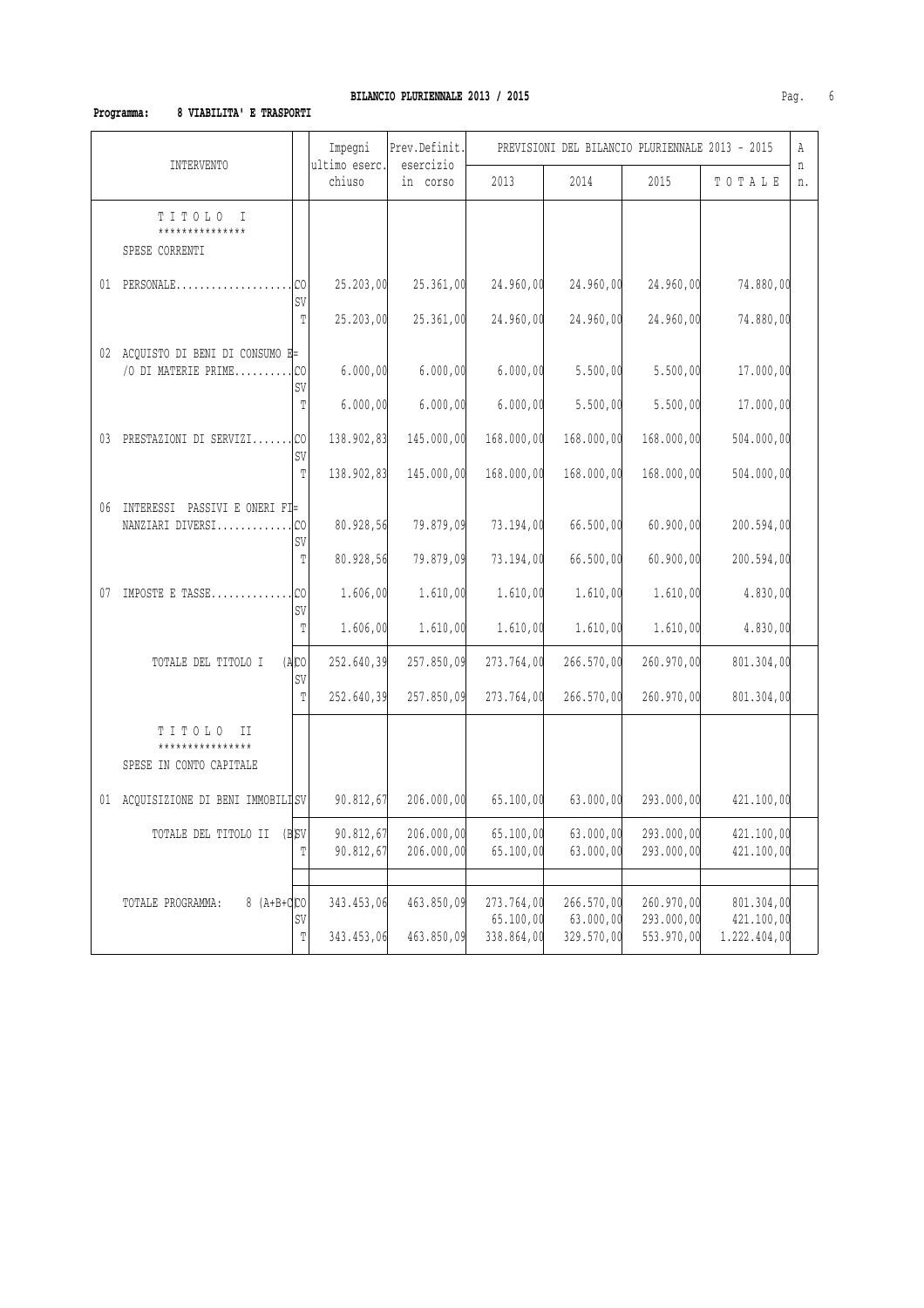### **Programma: 8 VIABILITA' E TRASPORTI**

| <b>INTERVENTO</b> |                                                          |                       | Impegni                  | Prev.Definit.            |                                       | PREVISIONI DEL BILANCIO PLURIENNALE 2013 - 2015 |                                        |                                          | Α       |
|-------------------|----------------------------------------------------------|-----------------------|--------------------------|--------------------------|---------------------------------------|-------------------------------------------------|----------------------------------------|------------------------------------------|---------|
|                   |                                                          |                       | ultimo eserc.<br>chiuso  | esercizio<br>in corso    | 2013                                  | 2014                                            | 2015                                   | TOTALE                                   | n<br>n. |
|                   | TITOLO I<br>***************<br>SPESE CORRENTI            |                       |                          |                          |                                       |                                                 |                                        |                                          |         |
|                   | $01$ PERSONALE                                           | CO<br>SV              | 25.203,00                | 25.361,00                | 24.960,00                             | 24.960,00                                       | 24.960,00                              | 74.880,00                                |         |
|                   |                                                          | T                     | 25.203,00                | 25.361,00                | 24.960,00                             | 24.960,00                                       | 24.960,00                              | 74.880,00                                |         |
|                   | 02 ACQUISTO DI BENI DI CONSUMO E=<br>/O DI MATERIE PRIME | CO<br>SV              | 6.000,00                 | 6.000,00                 | 6.000,00                              | 5.500,00                                        | 5.500,00                               | 17.000,00                                |         |
|                   |                                                          | T                     | 6.000,00                 | 6.000,00                 | 6.000,00                              | 5.500,00                                        | 5.500,00                               | 17.000,00                                |         |
| 03                | PRESTAZIONI DI SERVIZICO                                 | SV                    | 138.902,83               | 145.000,00               | 168.000,00                            | 168.000,00                                      | 168.000,00                             | 504.000,00                               |         |
|                   |                                                          | $\mathbb T$           | 138.902,83               | 145.000,00               | 168.000,00                            | 168.000,00                                      | 168.000,00                             | 504.000,00                               |         |
| 06                | INTERESSI PASSIVI E ONERI FI=<br>NANZIARI DIVERSI        | CO<br>SV              | 80.928,56                | 79.879,09                | 73.194,00                             | 66.500,00                                       | 60.900,00                              | 200.594,00                               |         |
|                   |                                                          | $\mathbb T$           | 80.928,56                | 79.879,09                | 73.194,00                             | 66.500,00                                       | 60.900,00                              | 200.594,00                               |         |
| 07                | IMPOSTE E TASSE                                          | C <sub>0</sub><br>SV  | 1.606,00                 | 1.610,00                 | 1.610,00                              | 1.610,00                                        | 1.610,00                               | 4.830,00                                 |         |
|                   |                                                          | T                     | 1.606,00                 | 1.610,00                 | 1.610,00                              | 1.610,00                                        | 1.610,00                               | 4.830,00                                 |         |
|                   | TOTALE DEL TITOLO I                                      | $(A)$ CO<br>SV        | 252.640,39               | 257.850,09               | 273.764,00                            | 266.570,00                                      | 260.970,00                             | 801.304,00                               |         |
|                   |                                                          | T                     | 252.640,39               | 257.850,09               | 273.764,00                            | 266.570,00                                      | 260.970,00                             | 801.304,00                               |         |
|                   | TITOLO<br>II<br>*************<br>SPESE IN CONTO CAPITALE |                       |                          |                          |                                       |                                                 |                                        |                                          |         |
|                   | 01 ACQUISIZIONE DI BENI IMMOBILISV                       |                       | 90.812,67                | 206.000,00               | 65.100,00                             | 63.000,00                                       | 293.000,00                             | 421.100,00                               |         |
|                   | TOTALE DEL TITOLO II                                     | (B <sub>SV</sub><br>T | 90.812,67<br>90.812,67   | 206.000,00<br>206.000,00 | 65.100,00<br>65.100,00                | 63.000,00<br>63.000,00                          | 293.000,00<br>293.000,00               | 421.100,00<br>421.100,00                 |         |
|                   |                                                          |                       |                          |                          |                                       |                                                 |                                        |                                          |         |
|                   | 8 $(A+B+Q)$ CO<br>TOTALE PROGRAMMA:                      | SV<br>T               | 343.453,06<br>343.453,06 | 463.850,09<br>463.850,09 | 273.764,00<br>65.100,00<br>338.864,00 | 266.570,00<br>63.000,00<br>329.570,00           | 260.970,00<br>293.000,00<br>553.970,00 | 801.304,00<br>421.100,00<br>1.222.404,00 |         |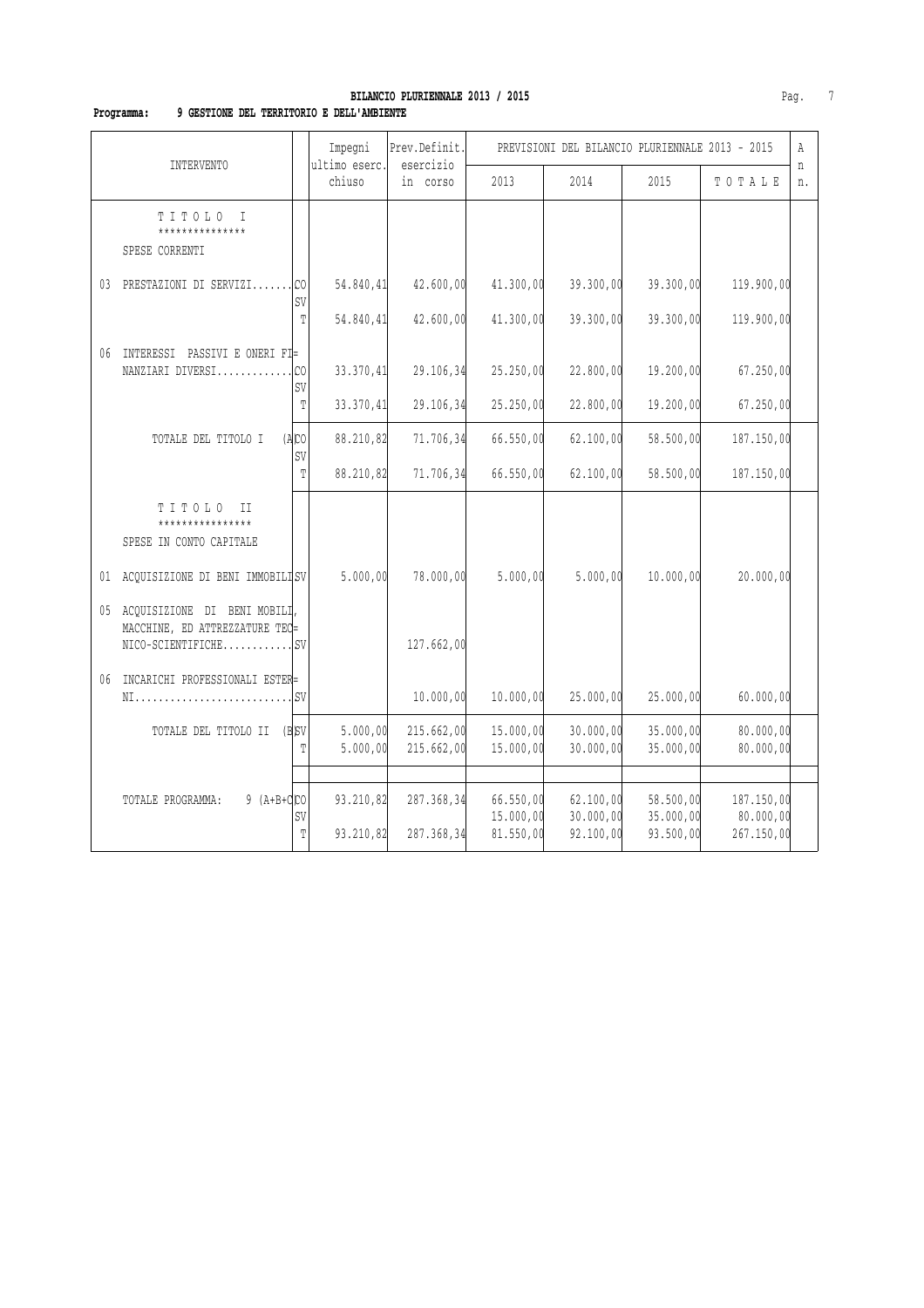# **BILANCIO PLURIENNALE 2013 / 2015 Pag.** 7

### **Programma: 9 GESTIONE DEL TERRITORIO E DELL'AMBIENTE**

|                                                                   |                      | Impegni<br>ultimo eserc. | Prev.Definit.            |                        | PREVISIONI DEL BILANCIO PLURIENNALE 2013 - 2015 |                        |                         | Α       |
|-------------------------------------------------------------------|----------------------|--------------------------|--------------------------|------------------------|-------------------------------------------------|------------------------|-------------------------|---------|
| INTERVENTO                                                        |                      | chiuso                   | esercizio<br>in corso    | 2013                   | 2014                                            | 2015                   | TOTALE                  | n<br>n. |
| TITOLO<br>$\top$<br>***************<br>SPESE CORRENTI             |                      |                          |                          |                        |                                                 |                        |                         |         |
| PRESTAZIONI DI SERVIZI<br>03                                      | C <sub>0</sub><br>SV | 54.840,41                | 42.600,00                | 41.300,00              | 39.300,00                                       | 39.300,00              | 119.900,00              |         |
|                                                                   | T                    | 54.840,41                | 42.600,00                | 41.300,00              | 39.300,00                                       | 39.300,00              | 119.900,00              |         |
| 06<br>INTERESSI PASSIVI E ONERI FI=<br>NANZIARI DIVERSI           | C <sub>0</sub><br>SV | 33.370,41                | 29.106,34                | 25.250,00              | 22.800,00                                       | 19.200,00              | 67.250,00               |         |
|                                                                   | T                    | 33.370,41                | 29.106,34                | 25.250,00              | 22.800,00                                       | 19.200,00              | 67.250,00               |         |
| TOTALE DEL TITOLO I                                               | (ACD)<br>SV          | 88.210,82                | 71.706,34                | 66.550,00              | 62.100,00                                       | 58.500,00              | 187.150,00              |         |
|                                                                   | T                    | 88.210,82                | 71.706,34                | 66.550,00              | 62.100,00                                       | 58.500,00              | 187.150,00              |         |
| TITOLO<br>II<br>****************<br>SPESE IN CONTO CAPITALE       |                      |                          |                          |                        |                                                 |                        |                         |         |
| 01 ACQUISIZIONE DI BENI IMMOBILISV                                |                      | 5.000,00                 | 78.000,00                | 5.000,00               | 5.000,00                                        | 10.000,00              | 20.000,00               |         |
| 05 ACQUISIZIONE DI BENI MOBILI,<br>MACCHINE, ED ATTREZZATURE TEC= |                      |                          | 127.662,00               |                        |                                                 |                        |                         |         |
| INCARICHI PROFESSIONALI ESTER=<br>06<br>NI                        | <b>SV</b>            |                          | 10.000,00                | 10.000,00              | 25.000,00                                       | 25.000,00              | 60.000,00               |         |
| TOTALE DEL TITOLO II (B)SV                                        | T                    | 5.000,00<br>5.000,00     | 215.662,00<br>215.662,00 | 15.000,00<br>15.000,00 | 30.000,00<br>30.000,00                          | 35.000,00<br>35.000,00 | 80.000,00<br>80.000,00  |         |
| $9(A+B+C)CO$<br>TOTALE PROGRAMMA:                                 |                      | 93.210,82                | 287.368,34               | 66.550,00              | 62.100,00                                       | 58.500,00              | 187.150,00              |         |
|                                                                   | SV<br>T              | 93.210,82                | 287.368,34               | 15.000,00<br>81.550,00 | 30.000,00<br>92.100,00                          | 35.000,00<br>93.500,00 | 80.000,00<br>267.150,00 |         |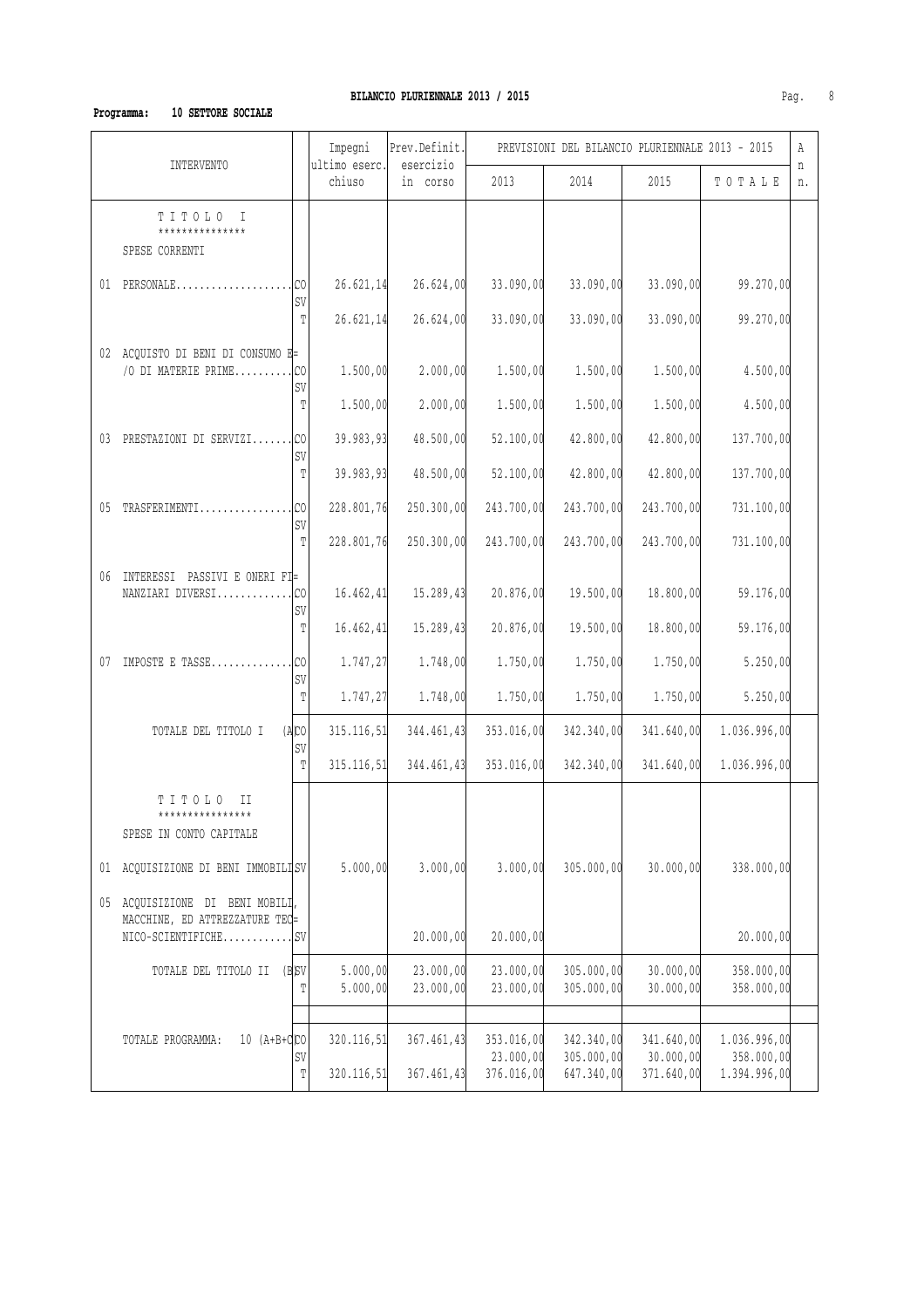### **Programma: 10 SETTORE SOCIALE**

| Impegni<br>Prev.Definit.<br>ultimo eserc.<br>esercizio<br>INTERVENTO |                                                                |                        |                          | PREVISIONI DEL BILANCIO PLURIENNALE 2013 - 2015 |                                       |                                        |                                       | Α                                          |         |
|----------------------------------------------------------------------|----------------------------------------------------------------|------------------------|--------------------------|-------------------------------------------------|---------------------------------------|----------------------------------------|---------------------------------------|--------------------------------------------|---------|
|                                                                      |                                                                |                        | chiuso                   | in corso                                        | 2013                                  | 2014                                   | 2015                                  | TOTALE                                     | n<br>n. |
|                                                                      | TITOLO I<br>***************<br>SPESE CORRENTI                  |                        |                          |                                                 |                                       |                                        |                                       |                                            |         |
|                                                                      | $01$ PERSONALE                                                 | $\cdot$ Ico<br>SV      | 26.621, 14               | 26.624,00                                       | 33.090,00                             | 33.090,00                              | 33.090,00                             | 99.270,00                                  |         |
|                                                                      |                                                                | $\mathbb T$            | 26.621, 14               | 26.624,00                                       | 33.090,00                             | 33.090,00                              | 33.090,00                             | 99.270,00                                  |         |
|                                                                      | 02 ACQUISTO DI BENI DI CONSUMO E=<br>/O DI MATERIE PRIME       | .1 <sub>CO</sub><br>SV | 1.500,00                 | 2.000,00                                        | 1.500,00                              | 1.500,00                               | 1.500,00                              | 4.500,00                                   |         |
|                                                                      |                                                                | T                      | 1.500,00                 | 2.000,00                                        | 1.500,00                              | 1.500,00                               | 1.500,00                              | 4.500,00                                   |         |
|                                                                      | 03 PRESTAZIONI DI SERVIZI CO                                   | SV                     | 39.983,93                | 48.500,00                                       | 52.100,00                             | 42.800,00                              | 42.800,00                             | 137.700,00                                 |         |
|                                                                      |                                                                | $\mathbb T$            | 39.983,93                | 48.500,00                                       | 52.100,00                             | 42.800,00                              | 42.800,00                             | 137.700,00                                 |         |
|                                                                      | 05 TRASFERIMENTI                                               | .lco<br>SV             | 228.801,76               | 250.300,00                                      | 243.700,00                            | 243.700,00                             | 243.700,00                            | 731.100,00                                 |         |
|                                                                      |                                                                | T                      | 228.801,76               | 250.300,00                                      | 243.700,00                            | 243.700,00                             | 243.700,00                            | 731.100,00                                 |         |
|                                                                      | 06 INTERESSI PASSIVI E ONERI FI=<br>NANZIARI DIVERSICO         | SV                     | 16.462,41                | 15.289,43                                       | 20.876,00                             | 19.500,00                              | 18.800,00                             | 59.176,00                                  |         |
|                                                                      |                                                                | T                      | 16.462,41                | 15.289,43                                       | 20.876,00                             | 19.500,00                              | 18.800,00                             | 59.176,00                                  |         |
|                                                                      | 07 IMPOSTE E TASSE                                             | .lco<br>SV             | 1.747,27                 | 1.748,00                                        | 1.750,00                              | 1.750,00                               | 1.750,00                              | 5.250,00                                   |         |
|                                                                      |                                                                | T                      | 1.747,27                 | 1.748,00                                        | 1.750,00                              | 1.750,00                               | 1.750,00                              | 5.250,00                                   |         |
|                                                                      | TOTALE DEL TITOLO I                                            | (ABC)<br>SV            | 315.116,51               | 344.461,43                                      | 353.016,00                            | 342.340,00                             | 341.640,00                            | 1.036.996,00                               |         |
|                                                                      |                                                                | $\mathbb T$            | 315.116, 51              | 344.461,43                                      | 353.016,00                            | 342.340,00                             | 341.640,00                            | 1.036.996,00                               |         |
|                                                                      | TITOLO<br>H<br>****************<br>SPESE IN CONTO CAPITALE     |                        |                          |                                                 |                                       |                                        |                                       |                                            |         |
| 01                                                                   | ACQUISIZIONE DI BENI IMMOBILISV                                |                        | 5.000,00                 | 3.000,00                                        | 3.000,00                              | 305.000,00                             | 30.000,00                             | 338.000,00                                 |         |
| 05                                                                   | ACQUISIZIONE DI BENI MOBILI,<br>MACCHINE, ED ATTREZZATURE TEC= |                        |                          | 20.000,00                                       | 20.000,00                             |                                        |                                       | 20.000,00                                  |         |
|                                                                      | TOTALE DEL TITOLO II (B)SV                                     | T                      | 5.000,00<br>5.000,00     | 23.000,00<br>23.000,00                          | 23.000,00<br>23.000,00                | 305.000,00<br>305.000,00               | 30.000,00<br>30.000,00                | 358.000,00<br>358.000,00                   |         |
|                                                                      |                                                                |                        |                          |                                                 |                                       |                                        |                                       |                                            |         |
|                                                                      | $10 (A+B+d)$<br>TOTALE PROGRAMMA:                              | SV<br>T                | 320.116,51<br>320.116,51 | 367.461,43<br>367.461,43                        | 353.016,00<br>23.000,00<br>376.016,00 | 342.340,00<br>305.000,00<br>647.340,00 | 341.640,00<br>30.000,00<br>371.640,00 | 1.036.996,00<br>358.000,00<br>1.394.996,00 |         |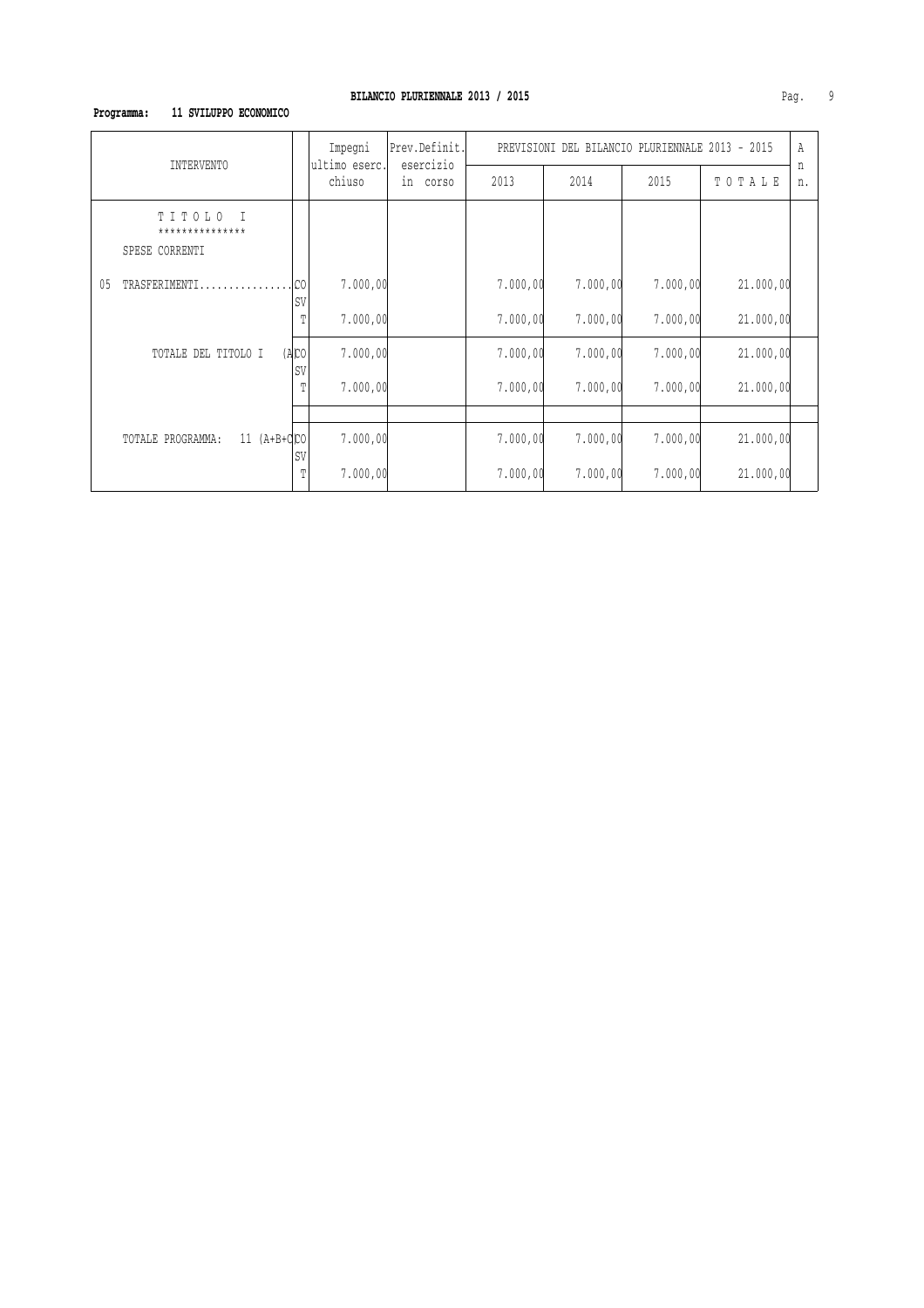### **Programma: 11 SVILUPPO ECONOMICO**

| INTERVENTO                                            |                      | Impegni<br>ultimo eserc. | Prev.Definit.            | PREVISIONI DEL BILANCIO PLURIENNALE 2013 - 2015 |          |          |           |         |
|-------------------------------------------------------|----------------------|--------------------------|--------------------------|-------------------------------------------------|----------|----------|-----------|---------|
|                                                       |                      |                          | esercizio<br>in<br>COTSO | 2013                                            | 2014     | 2015     | TOTALE    | n<br>n. |
| TITOLO<br>$\top$<br>***************<br>SPESE CORRENTI |                      |                          |                          |                                                 |          |          |           |         |
| TRASFERIMENTI.<br>05                                  | C <sub>0</sub><br>SV | 7.000,00                 |                          | 7.000,00                                        | 7.000,00 | 7.000,00 | 21.000,00 |         |
|                                                       | Т                    | 7.000,00                 |                          | 7.000,00                                        | 7.000,00 | 7.000,00 | 21.000,00 |         |
| TOTALE DEL TITOLO I                                   | (ABC)<br>SV          | 7.000,00                 |                          | 7.000,00                                        | 7.000,00 | 7.000,00 | 21.000,00 |         |
|                                                       | Т                    | 7.000,00                 |                          | 7.000,00                                        | 7.000,00 | 7.000,00 | 21.000,00 |         |
|                                                       |                      |                          |                          |                                                 |          |          |           |         |
| 11 $(A+B+Q)CO$<br>TOTALE PROGRAMMA:                   | SV                   | 7.000,00                 |                          | 7.000,00                                        | 7.000,00 | 7.000,00 | 21.000,00 |         |
|                                                       | T                    | 7.000,00                 |                          | 7.000,00                                        | 7.000,00 | 7.000,00 | 21.000,00 |         |